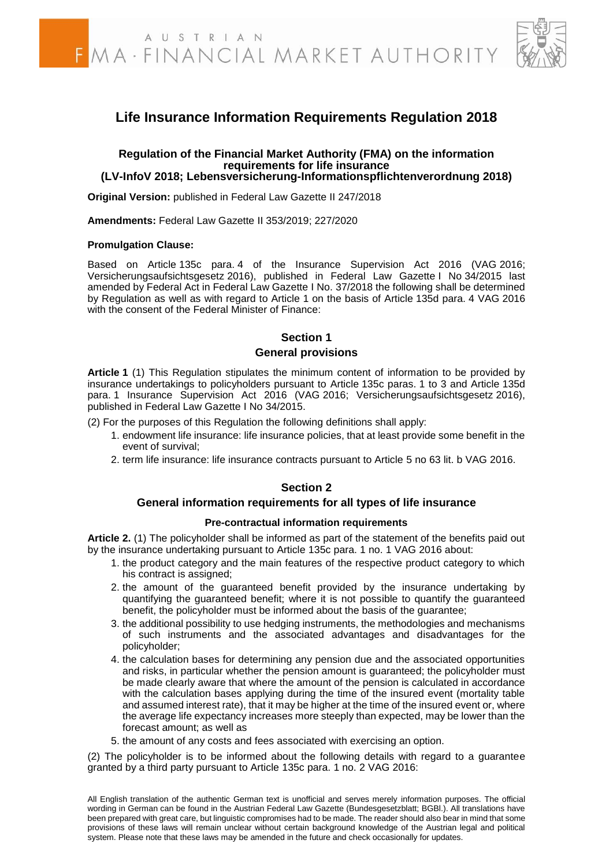

## **Life Insurance Information Requirements Regulation 2018**

#### **Regulation of the Financial Market Authority (FMA) on the information requirements for life insurance (LV-InfoV 2018; Lebensversicherung-Informationspflichtenverordnung 2018)**

**Original Version:** published in Federal Law Gazette II 247/2018

**Amendments:** Federal Law Gazette II 353/2019; 227/2020

#### **Promulgation Clause:**

Based on Article 135c para. 4 of the Insurance Supervision Act 2016 (VAG 2016; Versicherungsaufsichtsgesetz 2016), published in Federal Law Gazette I No 34/2015 last amended by Federal Act in Federal Law Gazette I No. 37/2018 the following shall be determined by Regulation as well as with regard to Article 1 on the basis of Article 135d para. 4 VAG 2016 with the consent of the Federal Minister of Finance:

#### **Section 1**

#### **General provisions**

**Article 1** (1) This Regulation stipulates the minimum content of information to be provided by insurance undertakings to policyholders pursuant to Article 135c paras. 1 to 3 and Article 135d para. 1 Insurance Supervision Act 2016 (VAG 2016; Versicherungsaufsichtsgesetz 2016), published in Federal Law Gazette I No 34/2015.

(2) For the purposes of this Regulation the following definitions shall apply:

- 1. endowment life insurance: life insurance policies, that at least provide some benefit in the event of survival;
- 2. term life insurance: life insurance contracts pursuant to Article 5 no 63 lit. b VAG 2016.

#### **Section 2**

#### **General information requirements for all types of life insurance**

#### **Pre-contractual information requirements**

**Article 2.** (1) The policyholder shall be informed as part of the statement of the benefits paid out by the insurance undertaking pursuant to Article 135c para. 1 no. 1 VAG 2016 about:

- 1. the product category and the main features of the respective product category to which his contract is assigned;
- 2. the amount of the guaranteed benefit provided by the insurance undertaking by quantifying the guaranteed benefit; where it is not possible to quantify the guaranteed benefit, the policyholder must be informed about the basis of the guarantee;
- 3. the additional possibility to use hedging instruments, the methodologies and mechanisms of such instruments and the associated advantages and disadvantages for the policyholder;
- 4. the calculation bases for determining any pension due and the associated opportunities and risks, in particular whether the pension amount is guaranteed; the policyholder must be made clearly aware that where the amount of the pension is calculated in accordance with the calculation bases applying during the time of the insured event (mortality table and assumed interest rate), that it may be higher at the time of the insured event or, where the average life expectancy increases more steeply than expected, may be lower than the forecast amount; as well as
- 5. the amount of any costs and fees associated with exercising an option.

(2) The policyholder is to be informed about the following details with regard to a guarantee granted by a third party pursuant to Article 135c para. 1 no. 2 VAG 2016:

All English translation of the authentic German text is unofficial and serves merely information purposes. The official wording in German can be found in the Austrian Federal Law Gazette (Bundesgesetzblatt; BGBl.). All translations have been prepared with great care, but linguistic compromises had to be made. The reader should also bear in mind that some provisions of these laws will remain unclear without certain background knowledge of the Austrian legal and political system. Please note that these laws may be amended in the future and check occasionally for updates.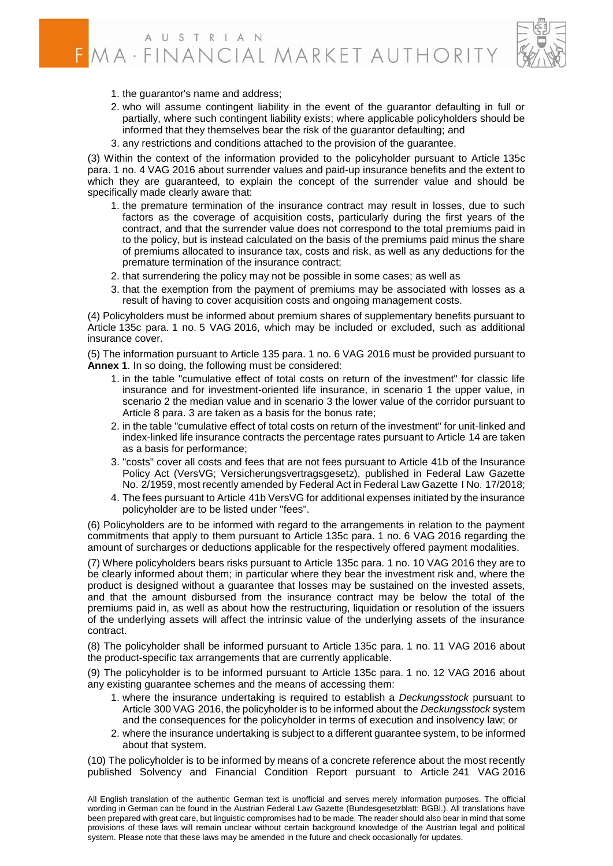

- 1. the guarantor's name and address;
- 2. who will assume contingent liability in the event of the guarantor defaulting in full or partially, where such contingent liability exists; where applicable policyholders should be informed that they themselves bear the risk of the guarantor defaulting; and
- 3. any restrictions and conditions attached to the provision of the guarantee.

(3) Within the context of the information provided to the policyholder pursuant to Article 135c para. 1 no. 4 VAG 2016 about surrender values and paid-up insurance benefits and the extent to which they are guaranteed, to explain the concept of the surrender value and should be specifically made clearly aware that:

- 1. the premature termination of the insurance contract may result in losses, due to such factors as the coverage of acquisition costs, particularly during the first years of the contract, and that the surrender value does not correspond to the total premiums paid in to the policy, but is instead calculated on the basis of the premiums paid minus the share of premiums allocated to insurance tax, costs and risk, as well as any deductions for the premature termination of the insurance contract;
- 2. that surrendering the policy may not be possible in some cases; as well as
- 3. that the exemption from the payment of premiums may be associated with losses as a result of having to cover acquisition costs and ongoing management costs.

(4) Policyholders must be informed about premium shares of supplementary benefits pursuant to Article 135c para. 1 no. 5 VAG 2016, which may be included or excluded, such as additional insurance cover.

(5) The information pursuant to Article 135 para. 1 no. 6 VAG 2016 must be provided pursuant to **Annex 1**. In so doing, the following must be considered:

- 1. in the table "cumulative effect of total costs on return of the investment" for classic life insurance and for investment-oriented life insurance, in scenario 1 the upper value, in scenario 2 the median value and in scenario 3 the lower value of the corridor pursuant to Article 8 para. 3 are taken as a basis for the bonus rate;
- 2. in the table "cumulative effect of total costs on return of the investment" for unit-linked and index-linked life insurance contracts the percentage rates pursuant to Article 14 are taken as a basis for performance;
- 3. "costs" cover all costs and fees that are not fees pursuant to Article 41b of the Insurance Policy Act (VersVG; Versicherungsvertragsgesetz), published in Federal Law Gazette No. 2/1959, most recently amended by Federal Act in Federal Law Gazette I No. 17/2018;
- 4. The fees pursuant to Article 41b VersVG for additional expenses initiated by the insurance policyholder are to be listed under "fees".

(6) Policyholders are to be informed with regard to the arrangements in relation to the payment commitments that apply to them pursuant to Article 135c para. 1 no. 6 VAG 2016 regarding the amount of surcharges or deductions applicable for the respectively offered payment modalities.

(7) Where policyholders bears risks pursuant to Article 135c para. 1 no. 10 VAG 2016 they are to be clearly informed about them; in particular where they bear the investment risk and, where the product is designed without a guarantee that losses may be sustained on the invested assets, and that the amount disbursed from the insurance contract may be below the total of the premiums paid in, as well as about how the restructuring, liquidation or resolution of the issuers of the underlying assets will affect the intrinsic value of the underlying assets of the insurance contract.

(8) The policyholder shall be informed pursuant to Article 135c para. 1 no. 11 VAG 2016 about the product-specific tax arrangements that are currently applicable.

(9) The policyholder is to be informed pursuant to Article 135c para. 1 no. 12 VAG 2016 about any existing guarantee schemes and the means of accessing them:

- 1. where the insurance undertaking is required to establish a *Deckungsstock* pursuant to Article 300 VAG 2016, the policyholder is to be informed about the *Deckungsstock* system and the consequences for the policyholder in terms of execution and insolvency law; or
- 2. where the insurance undertaking is subject to a different guarantee system, to be informed about that system.

(10) The policyholder is to be informed by means of a concrete reference about the most recently published Solvency and Financial Condition Report pursuant to Article 241 VAG 2016

All English translation of the authentic German text is unofficial and serves merely information purposes. The official wording in German can be found in the Austrian Federal Law Gazette (Bundesgesetzblatt; BGBl.). All translations have been prepared with great care, but linguistic compromises had to be made. The reader should also bear in mind that some provisions of these laws will remain unclear without certain background knowledge of the Austrian legal and political system. Please note that these laws may be amended in the future and check occasionally for updates.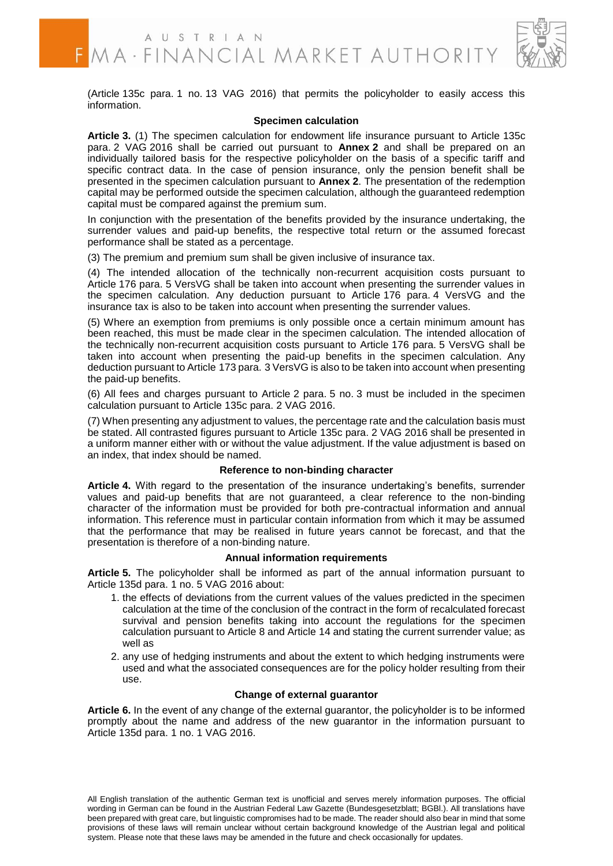

(Article 135c para. 1 no. 13 VAG 2016) that permits the policyholder to easily access this information.

#### **Specimen calculation**

**Article 3.** (1) The specimen calculation for endowment life insurance pursuant to Article 135c para. 2 VAG 2016 shall be carried out pursuant to **Annex 2** and shall be prepared on an individually tailored basis for the respective policyholder on the basis of a specific tariff and specific contract data. In the case of pension insurance, only the pension benefit shall be presented in the specimen calculation pursuant to **Annex 2**. The presentation of the redemption capital may be performed outside the specimen calculation, although the guaranteed redemption capital must be compared against the premium sum.

In conjunction with the presentation of the benefits provided by the insurance undertaking, the surrender values and paid-up benefits, the respective total return or the assumed forecast performance shall be stated as a percentage.

(3) The premium and premium sum shall be given inclusive of insurance tax.

(4) The intended allocation of the technically non-recurrent acquisition costs pursuant to Article 176 para. 5 VersVG shall be taken into account when presenting the surrender values in the specimen calculation. Any deduction pursuant to Article 176 para. 4 VersVG and the insurance tax is also to be taken into account when presenting the surrender values.

(5) Where an exemption from premiums is only possible once a certain minimum amount has been reached, this must be made clear in the specimen calculation. The intended allocation of the technically non-recurrent acquisition costs pursuant to Article 176 para. 5 VersVG shall be taken into account when presenting the paid-up benefits in the specimen calculation. Any deduction pursuant to Article 173 para. 3 VersVG is also to be taken into account when presenting the paid-up benefits.

(6) All fees and charges pursuant to Article 2 para. 5 no. 3 must be included in the specimen calculation pursuant to Article 135c para. 2 VAG 2016.

(7) When presenting any adjustment to values, the percentage rate and the calculation basis must be stated. All contrasted figures pursuant to Article 135c para. 2 VAG 2016 shall be presented in a uniform manner either with or without the value adjustment. If the value adjustment is based on an index, that index should be named.

#### **Reference to non-binding character**

**Article 4.** With regard to the presentation of the insurance undertaking's benefits, surrender values and paid-up benefits that are not guaranteed, a clear reference to the non-binding character of the information must be provided for both pre-contractual information and annual information. This reference must in particular contain information from which it may be assumed that the performance that may be realised in future years cannot be forecast, and that the presentation is therefore of a non-binding nature.

#### **Annual information requirements**

**Article 5.** The policyholder shall be informed as part of the annual information pursuant to Article 135d para. 1 no. 5 VAG 2016 about:

- 1. the effects of deviations from the current values of the values predicted in the specimen calculation at the time of the conclusion of the contract in the form of recalculated forecast survival and pension benefits taking into account the regulations for the specimen calculation pursuant to Article 8 and Article 14 and stating the current surrender value; as well as
- 2. any use of hedging instruments and about the extent to which hedging instruments were used and what the associated consequences are for the policy holder resulting from their use.

#### **Change of external guarantor**

**Article 6.** In the event of any change of the external guarantor, the policyholder is to be informed promptly about the name and address of the new guarantor in the information pursuant to Article 135d para. 1 no. 1 VAG 2016.

All English translation of the authentic German text is unofficial and serves merely information purposes. The official wording in German can be found in the Austrian Federal Law Gazette (Bundesgesetzblatt; BGBl.). All translations have been prepared with great care, but linguistic compromises had to be made. The reader should also bear in mind that some provisions of these laws will remain unclear without certain background knowledge of the Austrian legal and political system. Please note that these laws may be amended in the future and check occasionally for updates.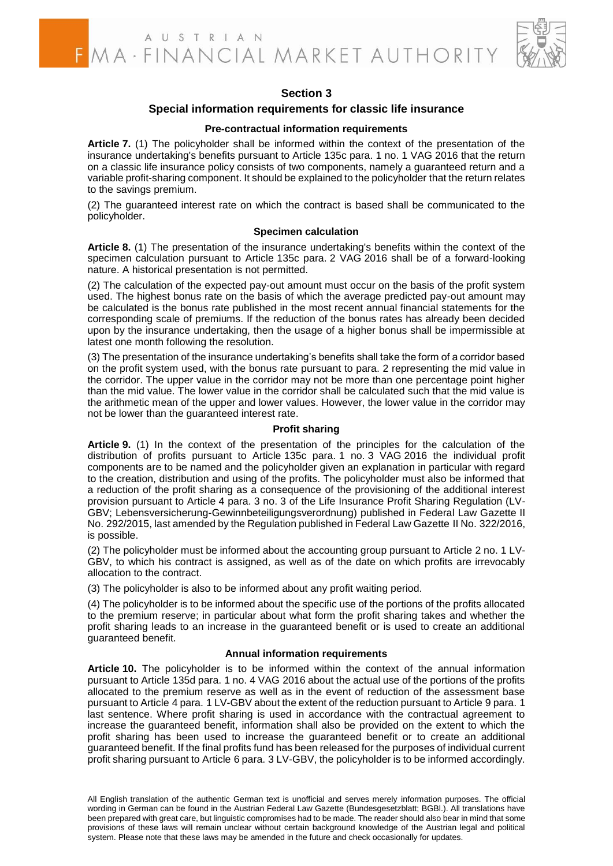

## **Section 3**

#### **Special information requirements for classic life insurance**

#### **Pre-contractual information requirements**

**Article 7.** (1) The policyholder shall be informed within the context of the presentation of the insurance undertaking's benefits pursuant to Article 135c para. 1 no. 1 VAG 2016 that the return on a classic life insurance policy consists of two components, namely a guaranteed return and a variable profit-sharing component. It should be explained to the policyholder that the return relates to the savings premium.

(2) The guaranteed interest rate on which the contract is based shall be communicated to the policyholder.

#### **Specimen calculation**

**Article 8.** (1) The presentation of the insurance undertaking's benefits within the context of the specimen calculation pursuant to Article 135c para. 2 VAG 2016 shall be of a forward-looking nature. A historical presentation is not permitted.

(2) The calculation of the expected pay-out amount must occur on the basis of the profit system used. The highest bonus rate on the basis of which the average predicted pay-out amount may be calculated is the bonus rate published in the most recent annual financial statements for the corresponding scale of premiums. If the reduction of the bonus rates has already been decided upon by the insurance undertaking, then the usage of a higher bonus shall be impermissible at latest one month following the resolution.

(3) The presentation of the insurance undertaking's benefits shall take the form of a corridor based on the profit system used, with the bonus rate pursuant to para. 2 representing the mid value in the corridor. The upper value in the corridor may not be more than one percentage point higher than the mid value. The lower value in the corridor shall be calculated such that the mid value is the arithmetic mean of the upper and lower values. However, the lower value in the corridor may not be lower than the guaranteed interest rate.

#### **Profit sharing**

**Article 9.** (1) In the context of the presentation of the principles for the calculation of the distribution of profits pursuant to Article 135c para. 1 no. 3 VAG 2016 the individual profit components are to be named and the policyholder given an explanation in particular with regard to the creation, distribution and using of the profits. The policyholder must also be informed that a reduction of the profit sharing as a consequence of the provisioning of the additional interest provision pursuant to Article 4 para. 3 no. 3 of the Life Insurance Profit Sharing Regulation (LV-GBV; Lebensversicherung-Gewinnbeteiligungsverordnung) published in Federal Law Gazette II No. 292/2015, last amended by the Regulation published in Federal Law Gazette II No. 322/2016, is possible.

(2) The policyholder must be informed about the accounting group pursuant to Article 2 no. 1 LV-GBV, to which his contract is assigned, as well as of the date on which profits are irrevocably allocation to the contract.

(3) The policyholder is also to be informed about any profit waiting period.

(4) The policyholder is to be informed about the specific use of the portions of the profits allocated to the premium reserve; in particular about what form the profit sharing takes and whether the profit sharing leads to an increase in the guaranteed benefit or is used to create an additional guaranteed benefit.

#### **Annual information requirements**

**Article 10.** The policyholder is to be informed within the context of the annual information pursuant to Article 135d para. 1 no. 4 VAG 2016 about the actual use of the portions of the profits allocated to the premium reserve as well as in the event of reduction of the assessment base pursuant to Article 4 para. 1 LV-GBV about the extent of the reduction pursuant to Article 9 para. 1 last sentence. Where profit sharing is used in accordance with the contractual agreement to increase the guaranteed benefit, information shall also be provided on the extent to which the profit sharing has been used to increase the guaranteed benefit or to create an additional guaranteed benefit. If the final profits fund has been released for the purposes of individual current profit sharing pursuant to Article 6 para. 3 LV-GBV, the policyholder is to be informed accordingly.

All English translation of the authentic German text is unofficial and serves merely information purposes. The official wording in German can be found in the Austrian Federal Law Gazette (Bundesgesetzblatt; BGBl.). All translations have been prepared with great care, but linguistic compromises had to be made. The reader should also bear in mind that some provisions of these laws will remain unclear without certain background knowledge of the Austrian legal and political system. Please note that these laws may be amended in the future and check occasionally for updates.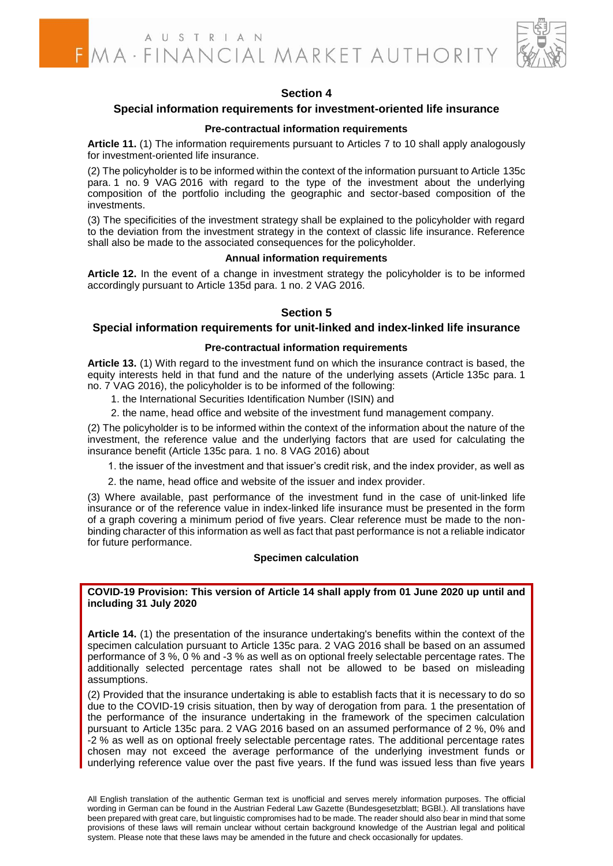

## **Section 4**

#### **Special information requirements for investment-oriented life insurance**

#### **Pre-contractual information requirements**

**Article 11.** (1) The information requirements pursuant to Articles 7 to 10 shall apply analogously for investment-oriented life insurance.

(2) The policyholder is to be informed within the context of the information pursuant to Article 135c para. 1 no. 9 VAG 2016 with regard to the type of the investment about the underlying composition of the portfolio including the geographic and sector-based composition of the investments.

(3) The specificities of the investment strategy shall be explained to the policyholder with regard to the deviation from the investment strategy in the context of classic life insurance. Reference shall also be made to the associated consequences for the policyholder.

#### **Annual information requirements**

**Article 12.** In the event of a change in investment strategy the policyholder is to be informed accordingly pursuant to Article 135d para. 1 no. 2 VAG 2016.

#### **Section 5**

#### **Special information requirements for unit-linked and index-linked life insurance**

#### **Pre-contractual information requirements**

**Article 13.** (1) With regard to the investment fund on which the insurance contract is based, the equity interests held in that fund and the nature of the underlying assets (Article 135c para. 1 no. 7 VAG 2016), the policyholder is to be informed of the following:

- 1. the International Securities Identification Number (ISIN) and
- 2. the name, head office and website of the investment fund management company.

(2) The policyholder is to be informed within the context of the information about the nature of the investment, the reference value and the underlying factors that are used for calculating the insurance benefit (Article 135c para. 1 no. 8 VAG 2016) about

- 1. the issuer of the investment and that issuer's credit risk, and the index provider, as well as
- 2. the name, head office and website of the issuer and index provider.

(3) Where available, past performance of the investment fund in the case of unit-linked life insurance or of the reference value in index-linked life insurance must be presented in the form of a graph covering a minimum period of five years. Clear reference must be made to the nonbinding character of this information as well as fact that past performance is not a reliable indicator for future performance.

#### **Specimen calculation**

#### **COVID-19 Provision: This version of Article 14 shall apply from 01 June 2020 up until and including 31 July 2020**

**Article 14.** (1) the presentation of the insurance undertaking's benefits within the context of the specimen calculation pursuant to Article 135c para. 2 VAG 2016 shall be based on an assumed performance of 3 %, 0 % and -3 % as well as on optional freely selectable percentage rates. The additionally selected percentage rates shall not be allowed to be based on misleading assumptions.

(2) Provided that the insurance undertaking is able to establish facts that it is necessary to do so due to the COVID-19 crisis situation, then by way of derogation from para. 1 the presentation of the performance of the insurance undertaking in the framework of the specimen calculation pursuant to Article 135c para. 2 VAG 2016 based on an assumed performance of 2 %, 0% and -2 % as well as on optional freely selectable percentage rates. The additional percentage rates chosen may not exceed the average performance of the underlying investment funds or underlying reference value over the past five years. If the fund was issued less than five years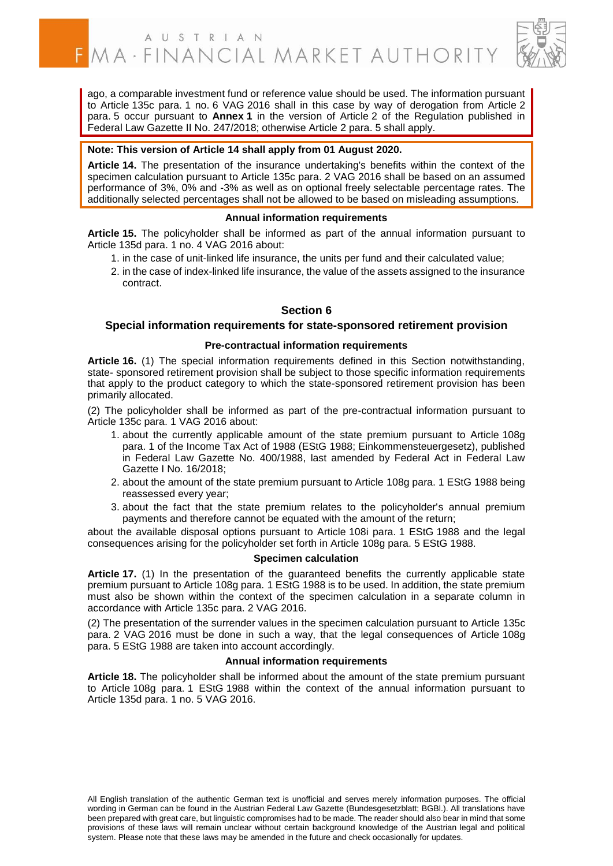

ago, a comparable investment fund or reference value should be used. The information pursuant to Article 135c para. 1 no. 6 VAG 2016 shall in this case by way of derogation from Article 2 para. 5 occur pursuant to **Annex 1** in the version of Article 2 of the Regulation published in Federal Law Gazette II No. 247/2018; otherwise Article 2 para. 5 shall apply.

#### **Note: This version of Article 14 shall apply from 01 August 2020.**

**Article 14.** The presentation of the insurance undertaking's benefits within the context of the specimen calculation pursuant to Article 135c para. 2 VAG 2016 shall be based on an assumed performance of 3%, 0% and -3% as well as on optional freely selectable percentage rates. The additionally selected percentages shall not be allowed to be based on misleading assumptions.

#### **Annual information requirements**

**Article 15.** The policyholder shall be informed as part of the annual information pursuant to Article 135d para. 1 no. 4 VAG 2016 about:

- 1. in the case of unit-linked life insurance, the units per fund and their calculated value;
- 2. in the case of index-linked life insurance, the value of the assets assigned to the insurance contract.

#### **Section 6**

#### **Special information requirements for state-sponsored retirement provision**

#### **Pre-contractual information requirements**

**Article 16.** (1) The special information requirements defined in this Section notwithstanding, state- sponsored retirement provision shall be subject to those specific information requirements that apply to the product category to which the state-sponsored retirement provision has been primarily allocated.

(2) The policyholder shall be informed as part of the pre-contractual information pursuant to Article 135c para. 1 VAG 2016 about:

- 1. about the currently applicable amount of the state premium pursuant to Article 108g para. 1 of the Income Tax Act of 1988 (EStG 1988; Einkommensteuergesetz), published in Federal Law Gazette No. 400/1988, last amended by Federal Act in Federal Law Gazette I No. 16/2018;
- 2. about the amount of the state premium pursuant to Article 108g para. 1 EStG 1988 being reassessed every year;
- 3. about the fact that the state premium relates to the policyholder's annual premium payments and therefore cannot be equated with the amount of the return;

about the available disposal options pursuant to Article 108i para. 1 EStG 1988 and the legal consequences arising for the policyholder set forth in Article 108g para. 5 EStG 1988.

#### **Specimen calculation**

**Article 17.** (1) In the presentation of the guaranteed benefits the currently applicable state premium pursuant to Article 108g para. 1 EStG 1988 is to be used. In addition, the state premium must also be shown within the context of the specimen calculation in a separate column in accordance with Article 135c para. 2 VAG 2016.

(2) The presentation of the surrender values in the specimen calculation pursuant to Article 135c para. 2 VAG 2016 must be done in such a way, that the legal consequences of Article 108g para. 5 EStG 1988 are taken into account accordingly.

#### **Annual information requirements**

**Article 18.** The policyholder shall be informed about the amount of the state premium pursuant to Article 108g para. 1 EStG 1988 within the context of the annual information pursuant to Article 135d para. 1 no. 5 VAG 2016.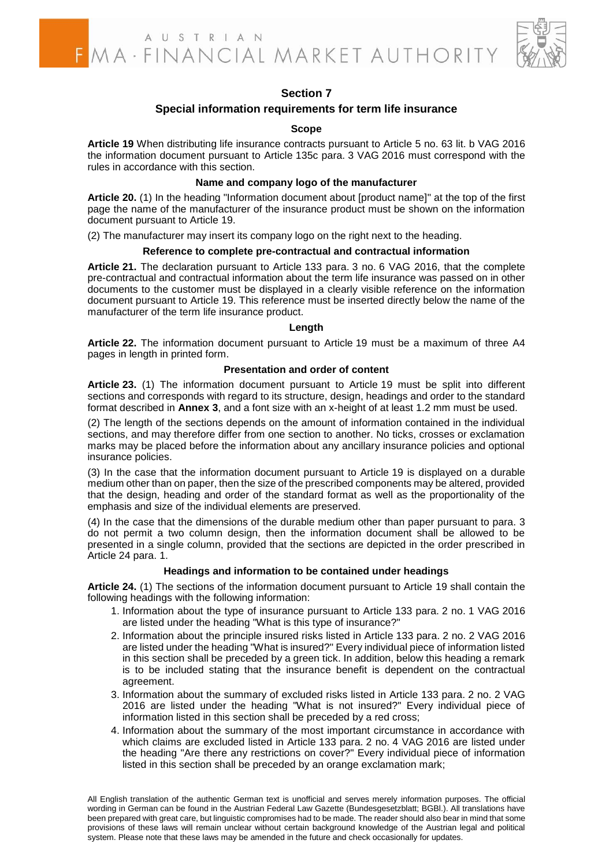

## **Section 7**

#### **Special information requirements for term life insurance**

#### **Scope**

**Article 19** When distributing life insurance contracts pursuant to Article 5 no. 63 lit. b VAG 2016 the information document pursuant to Article 135c para. 3 VAG 2016 must correspond with the rules in accordance with this section.

#### **Name and company logo of the manufacturer**

**Article 20.** (1) In the heading "Information document about [product name]" at the top of the first page the name of the manufacturer of the insurance product must be shown on the information document pursuant to Article 19.

(2) The manufacturer may insert its company logo on the right next to the heading.

#### **Reference to complete pre-contractual and contractual information**

**Article 21.** The declaration pursuant to Article 133 para. 3 no. 6 VAG 2016, that the complete pre-contractual and contractual information about the term life insurance was passed on in other documents to the customer must be displayed in a clearly visible reference on the information document pursuant to Article 19. This reference must be inserted directly below the name of the manufacturer of the term life insurance product.

#### **Length**

**Article 22.** The information document pursuant to Article 19 must be a maximum of three A4 pages in length in printed form.

#### **Presentation and order of content**

**Article 23.** (1) The information document pursuant to Article 19 must be split into different sections and corresponds with regard to its structure, design, headings and order to the standard format described in **Annex 3**, and a font size with an x-height of at least 1.2 mm must be used.

(2) The length of the sections depends on the amount of information contained in the individual sections, and may therefore differ from one section to another. No ticks, crosses or exclamation marks may be placed before the information about any ancillary insurance policies and optional insurance policies.

(3) In the case that the information document pursuant to Article 19 is displayed on a durable medium other than on paper, then the size of the prescribed components may be altered, provided that the design, heading and order of the standard format as well as the proportionality of the emphasis and size of the individual elements are preserved.

(4) In the case that the dimensions of the durable medium other than paper pursuant to para. 3 do not permit a two column design, then the information document shall be allowed to be presented in a single column, provided that the sections are depicted in the order prescribed in Article 24 para. 1.

#### **Headings and information to be contained under headings**

**Article 24.** (1) The sections of the information document pursuant to Article 19 shall contain the following headings with the following information:

- 1. Information about the type of insurance pursuant to Article 133 para. 2 no. 1 VAG 2016 are listed under the heading "What is this type of insurance?"
- 2. Information about the principle insured risks listed in Article 133 para. 2 no. 2 VAG 2016 are listed under the heading "What is insured?" Every individual piece of information listed in this section shall be preceded by a green tick. In addition, below this heading a remark is to be included stating that the insurance benefit is dependent on the contractual agreement.
- 3. Information about the summary of excluded risks listed in Article 133 para. 2 no. 2 VAG 2016 are listed under the heading "What is not insured?" Every individual piece of information listed in this section shall be preceded by a red cross;
- 4. Information about the summary of the most important circumstance in accordance with which claims are excluded listed in Article 133 para. 2 no. 4 VAG 2016 are listed under the heading "Are there any restrictions on cover?" Every individual piece of information listed in this section shall be preceded by an orange exclamation mark;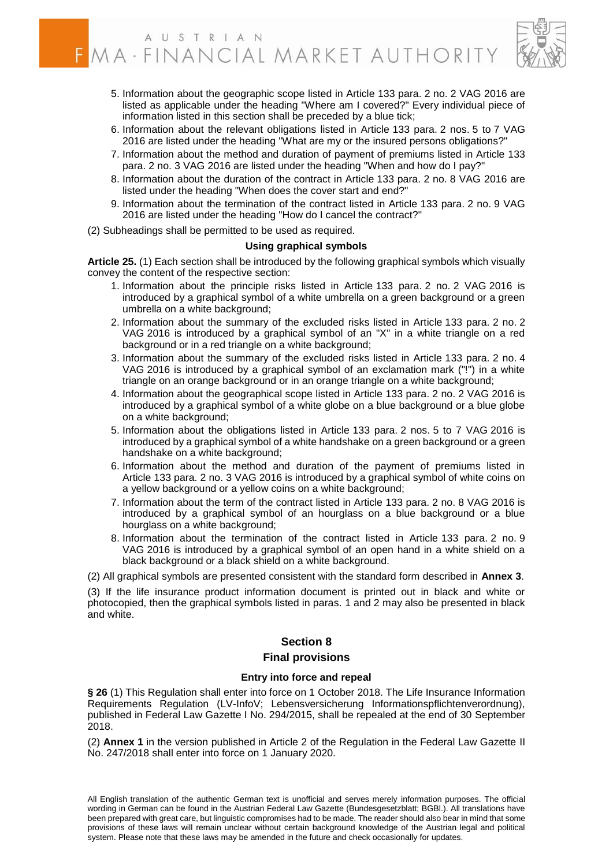

- 5. Information about the geographic scope listed in Article 133 para. 2 no. 2 VAG 2016 are listed as applicable under the heading "Where am I covered?" Every individual piece of information listed in this section shall be preceded by a blue tick;
- 6. Information about the relevant obligations listed in Article 133 para. 2 nos. 5 to 7 VAG 2016 are listed under the heading "What are my or the insured persons obligations?"
- 7. Information about the method and duration of payment of premiums listed in Article 133 para. 2 no. 3 VAG 2016 are listed under the heading "When and how do I pay?"
- 8. Information about the duration of the contract in Article 133 para. 2 no. 8 VAG 2016 are listed under the heading "When does the cover start and end?"
- 9. Information about the termination of the contract listed in Article 133 para. 2 no. 9 VAG 2016 are listed under the heading "How do I cancel the contract?"
- (2) Subheadings shall be permitted to be used as required.

#### **Using graphical symbols**

**Article 25.** (1) Each section shall be introduced by the following graphical symbols which visually convey the content of the respective section:

- 1. Information about the principle risks listed in Article 133 para. 2 no. 2 VAG 2016 is introduced by a graphical symbol of a white umbrella on a green background or a green umbrella on a white background;
- 2. Information about the summary of the excluded risks listed in Article 133 para. 2 no. 2 VAG 2016 is introduced by a graphical symbol of an "X" in a white triangle on a red background or in a red triangle on a white background;
- 3. Information about the summary of the excluded risks listed in Article 133 para. 2 no. 4 VAG 2016 is introduced by a graphical symbol of an exclamation mark ("!") in a white triangle on an orange background or in an orange triangle on a white background;
- 4. Information about the geographical scope listed in Article 133 para. 2 no. 2 VAG 2016 is introduced by a graphical symbol of a white globe on a blue background or a blue globe on a white background;
- 5. Information about the obligations listed in Article 133 para. 2 nos. 5 to 7 VAG 2016 is introduced by a graphical symbol of a white handshake on a green background or a green handshake on a white background;
- 6. Information about the method and duration of the payment of premiums listed in Article 133 para. 2 no. 3 VAG 2016 is introduced by a graphical symbol of white coins on a yellow background or a yellow coins on a white background;
- 7. Information about the term of the contract listed in Article 133 para. 2 no. 8 VAG 2016 is introduced by a graphical symbol of an hourglass on a blue background or a blue hourglass on a white background:
- 8. Information about the termination of the contract listed in Article 133 para. 2 no. 9 VAG 2016 is introduced by a graphical symbol of an open hand in a white shield on a black background or a black shield on a white background.
- (2) All graphical symbols are presented consistent with the standard form described in **Annex 3**.

(3) If the life insurance product information document is printed out in black and white or photocopied, then the graphical symbols listed in paras. 1 and 2 may also be presented in black and white.

#### **Section 8**

#### **Final provisions**

#### **Entry into force and repeal**

**§ 26** (1) This Regulation shall enter into force on 1 October 2018. The Life Insurance Information Requirements Regulation (LV-InfoV; Lebensversicherung Informationspflichtenverordnung), published in Federal Law Gazette I No. 294/2015, shall be repealed at the end of 30 September 2018.

(2) **Annex 1** in the version published in Article 2 of the Regulation in the Federal Law Gazette II No. 247/2018 shall enter into force on 1 January 2020.

All English translation of the authentic German text is unofficial and serves merely information purposes. The official wording in German can be found in the Austrian Federal Law Gazette (Bundesgesetzblatt; BGBl.). All translations have been prepared with great care, but linguistic compromises had to be made. The reader should also bear in mind that some provisions of these laws will remain unclear without certain background knowledge of the Austrian legal and political system. Please note that these laws may be amended in the future and check occasionally for updates.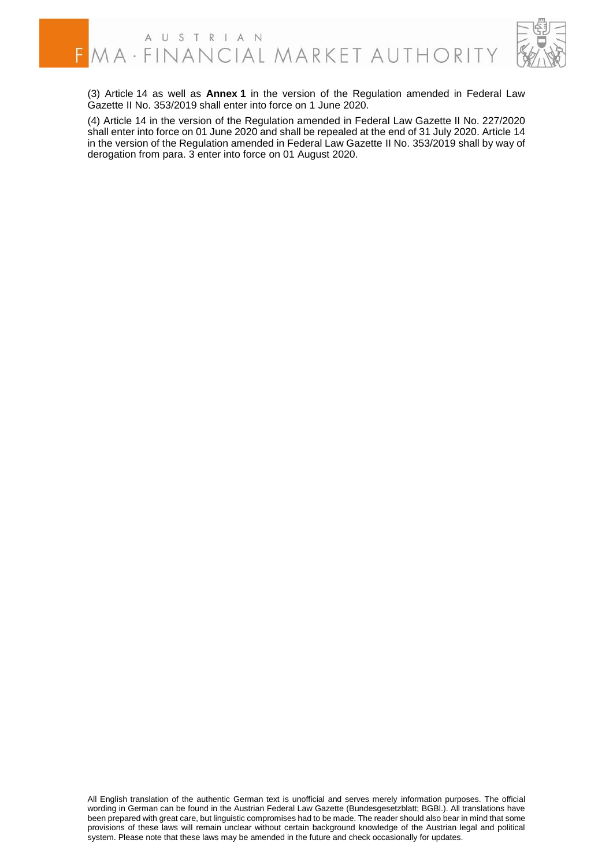

(3) Article 14 as well as **Annex 1** in the version of the Regulation amended in Federal Law Gazette II No. 353/2019 shall enter into force on 1 June 2020.

(4) Article 14 in the version of the Regulation amended in Federal Law Gazette II No. 227/2020 shall enter into force on 01 June 2020 and shall be repealed at the end of 31 July 2020. Article 14 in the version of the Regulation amended in Federal Law Gazette II No. 353/2019 shall by way of derogation from para. 3 enter into force on 01 August 2020.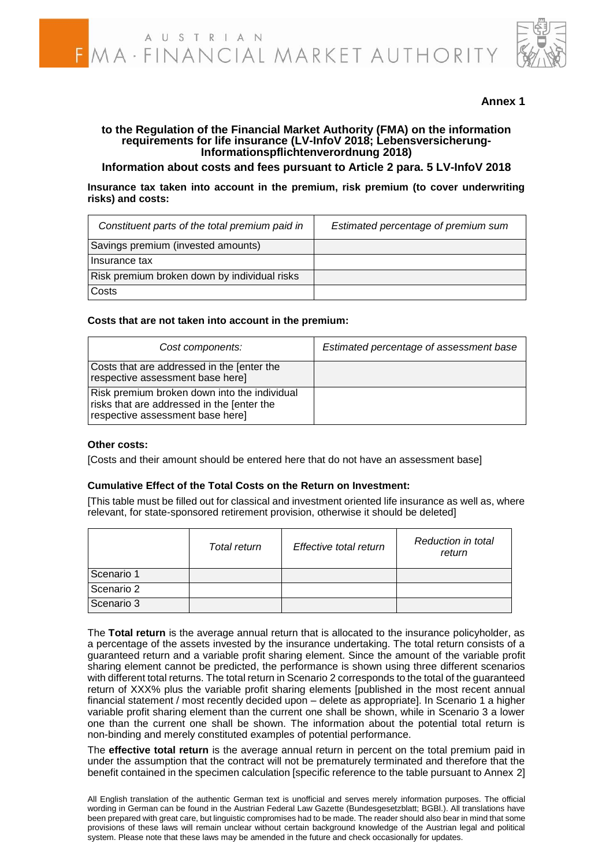

## **Annex 1**

#### **to the Regulation of the Financial Market Authority (FMA) on the information requirements for life insurance (LV-InfoV 2018; Lebensversicherung-Informationspflichtenverordnung 2018)**

**Information about costs and fees pursuant to Article 2 para. 5 LV-InfoV 2018**

**Insurance tax taken into account in the premium, risk premium (to cover underwriting risks) and costs:**

| Constituent parts of the total premium paid in | Estimated percentage of premium sum |
|------------------------------------------------|-------------------------------------|
| Savings premium (invested amounts)             |                                     |
| Insurance tax                                  |                                     |
| Risk premium broken down by individual risks   |                                     |
| Costs                                          |                                     |

#### **Costs that are not taken into account in the premium:**

| Cost components:                                                                                                               | Estimated percentage of assessment base |
|--------------------------------------------------------------------------------------------------------------------------------|-----------------------------------------|
| Costs that are addressed in the [enter the<br>respective assessment base here]                                                 |                                         |
| Risk premium broken down into the individual<br>risks that are addressed in the [enter the<br>respective assessment base here] |                                         |

#### **Other costs:**

[Costs and their amount should be entered here that do not have an assessment base]

#### **Cumulative Effect of the Total Costs on the Return on Investment:**

[This table must be filled out for classical and investment oriented life insurance as well as, where relevant, for state-sponsored retirement provision, otherwise it should be deleted]

|            | Total return | Effective total return | Reduction in total<br>return |  |  |
|------------|--------------|------------------------|------------------------------|--|--|
| Scenario 1 |              |                        |                              |  |  |
| Scenario 2 |              |                        |                              |  |  |
| Scenario 3 |              |                        |                              |  |  |

The **Total return** is the average annual return that is allocated to the insurance policyholder, as a percentage of the assets invested by the insurance undertaking. The total return consists of a guaranteed return and a variable profit sharing element. Since the amount of the variable profit sharing element cannot be predicted, the performance is shown using three different scenarios with different total returns. The total return in Scenario 2 corresponds to the total of the guaranteed return of XXX% plus the variable profit sharing elements [published in the most recent annual financial statement / most recently decided upon – delete as appropriate]. In Scenario 1 a higher variable profit sharing element than the current one shall be shown, while in Scenario 3 a lower one than the current one shall be shown. The information about the potential total return is non-binding and merely constituted examples of potential performance.

The **effective total return** is the average annual return in percent on the total premium paid in under the assumption that the contract will not be prematurely terminated and therefore that the benefit contained in the specimen calculation [specific reference to the table pursuant to Annex 2]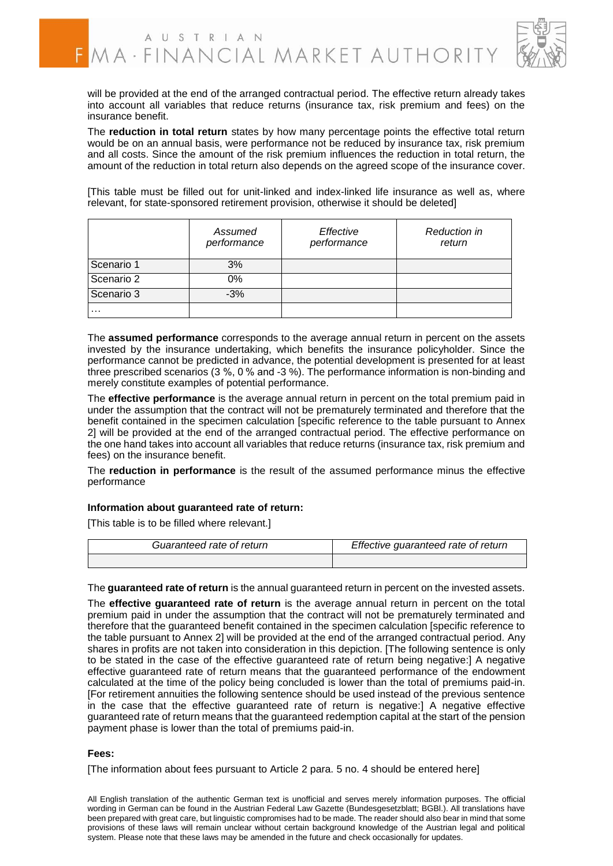

will be provided at the end of the arranged contractual period. The effective return already takes into account all variables that reduce returns (insurance tax, risk premium and fees) on the insurance benefit.

The **reduction in total return** states by how many percentage points the effective total return would be on an annual basis, were performance not be reduced by insurance tax, risk premium and all costs. Since the amount of the risk premium influences the reduction in total return, the amount of the reduction in total return also depends on the agreed scope of the insurance cover.

[This table must be filled out for unit-linked and index-linked life insurance as well as, where relevant, for state-sponsored retirement provision, otherwise it should be deleted]

|            | Assumed<br>performance | Effective<br>performance | <b>Reduction in</b><br>return |
|------------|------------------------|--------------------------|-------------------------------|
| Scenario 1 | 3%                     |                          |                               |
| Scenario 2 | 0%                     |                          |                               |
| Scenario 3 | $-3%$                  |                          |                               |
| .          |                        |                          |                               |

The **assumed performance** corresponds to the average annual return in percent on the assets invested by the insurance undertaking, which benefits the insurance policyholder. Since the performance cannot be predicted in advance, the potential development is presented for at least three prescribed scenarios (3 %, 0 % and -3 %). The performance information is non-binding and merely constitute examples of potential performance.

The **effective performance** is the average annual return in percent on the total premium paid in under the assumption that the contract will not be prematurely terminated and therefore that the benefit contained in the specimen calculation [specific reference to the table pursuant to Annex 2] will be provided at the end of the arranged contractual period. The effective performance on the one hand takes into account all variables that reduce returns (insurance tax, risk premium and fees) on the insurance benefit.

The **reduction in performance** is the result of the assumed performance minus the effective performance

#### **Information about guaranteed rate of return:**

[This table is to be filled where relevant.]

| Guaranteed rate of return | Effective guaranteed rate of return |
|---------------------------|-------------------------------------|
|                           |                                     |

The **guaranteed rate of return** is the annual guaranteed return in percent on the invested assets.

The **effective guaranteed rate of return** is the average annual return in percent on the total premium paid in under the assumption that the contract will not be prematurely terminated and therefore that the guaranteed benefit contained in the specimen calculation [specific reference to the table pursuant to Annex 2] will be provided at the end of the arranged contractual period. Any shares in profits are not taken into consideration in this depiction. [The following sentence is only to be stated in the case of the effective guaranteed rate of return being negative:] A negative effective guaranteed rate of return means that the guaranteed performance of the endowment calculated at the time of the policy being concluded is lower than the total of premiums paid-in. [For retirement annuities the following sentence should be used instead of the previous sentence in the case that the effective guaranteed rate of return is negative:] A negative effective guaranteed rate of return means that the guaranteed redemption capital at the start of the pension payment phase is lower than the total of premiums paid-in.

#### **Fees:**

[The information about fees pursuant to Article 2 para. 5 no. 4 should be entered here]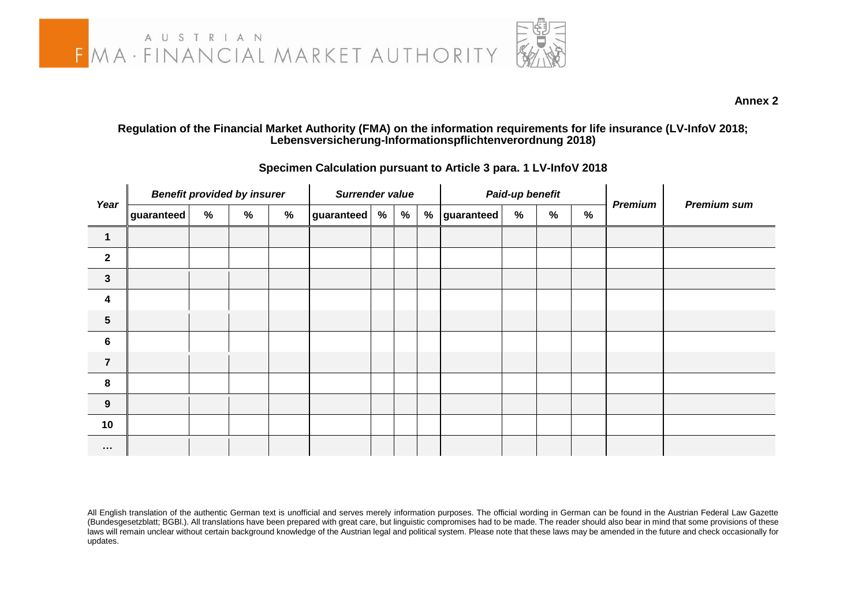

**Annex 2**

#### **Regulation of the Financial Market Authority (FMA) on the information requirements for life insurance (LV-InfoV 2018; Lebensversicherung-Informationspflichtenverordnung 2018)**

| Year                    | <b>Benefit provided by insurer</b> |   |               |      | Surrender value |   |   | Paid-up benefit |            |   |               |               | <b>Premium sum</b> |  |
|-------------------------|------------------------------------|---|---------------|------|-----------------|---|---|-----------------|------------|---|---------------|---------------|--------------------|--|
|                         | guaranteed                         | % | $\frac{9}{6}$ | $\%$ | guaranteed      | % | % | $\%$            | guaranteed | % | $\frac{9}{6}$ | $\frac{0}{0}$ | <b>Premium</b>     |  |
| $\overline{1}$          |                                    |   |               |      |                 |   |   |                 |            |   |               |               |                    |  |
| $\overline{2}$          |                                    |   |               |      |                 |   |   |                 |            |   |               |               |                    |  |
| $\mathbf{3}$            |                                    |   |               |      |                 |   |   |                 |            |   |               |               |                    |  |
| $\overline{\mathbf{4}}$ |                                    |   |               |      |                 |   |   |                 |            |   |               |               |                    |  |
| $5\phantom{.0}$         |                                    |   |               |      |                 |   |   |                 |            |   |               |               |                    |  |
| $6\phantom{1}6$         |                                    |   |               |      |                 |   |   |                 |            |   |               |               |                    |  |
| $\overline{7}$          |                                    |   |               |      |                 |   |   |                 |            |   |               |               |                    |  |
| 8                       |                                    |   |               |      |                 |   |   |                 |            |   |               |               |                    |  |
| 9                       |                                    |   |               |      |                 |   |   |                 |            |   |               |               |                    |  |
| 10                      |                                    |   |               |      |                 |   |   |                 |            |   |               |               |                    |  |
| $\cdots$                |                                    |   |               |      |                 |   |   |                 |            |   |               |               |                    |  |

#### **Specimen Calculation pursuant to Article 3 para. 1 LV-InfoV 2018**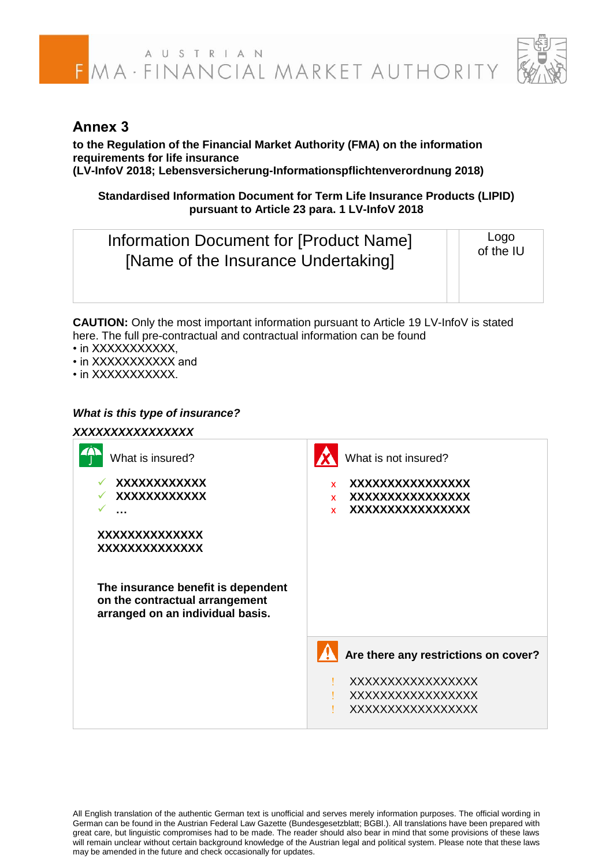# FMA · FINANCIAL MARKET AUTHORITY



## **Annex 3**

**to the Regulation of the Financial Market Authority (FMA) on the information requirements for life insurance (LV-InfoV 2018; Lebensversicherung-Informationspflichtenverordnung 2018)**

**Standardised Information Document for Term Life Insurance Products (LIPID) pursuant to Article 23 para. 1 LV-InfoV 2018**

| Information Document for [Product Name]<br>[Name of the Insurance Undertaking] | Logo<br>of the IU |
|--------------------------------------------------------------------------------|-------------------|
|                                                                                |                   |

**CAUTION:** Only the most important information pursuant to Article 19 LV-InfoV is stated here. The full pre-contractual and contractual information can be found

- in XXXXXXXXXX.
- in XXXXXXXXXX and
- in XXXXXXXXXX.

## *What is this type of insurance?*

## *XXXXXXXXXXXXXXXX*